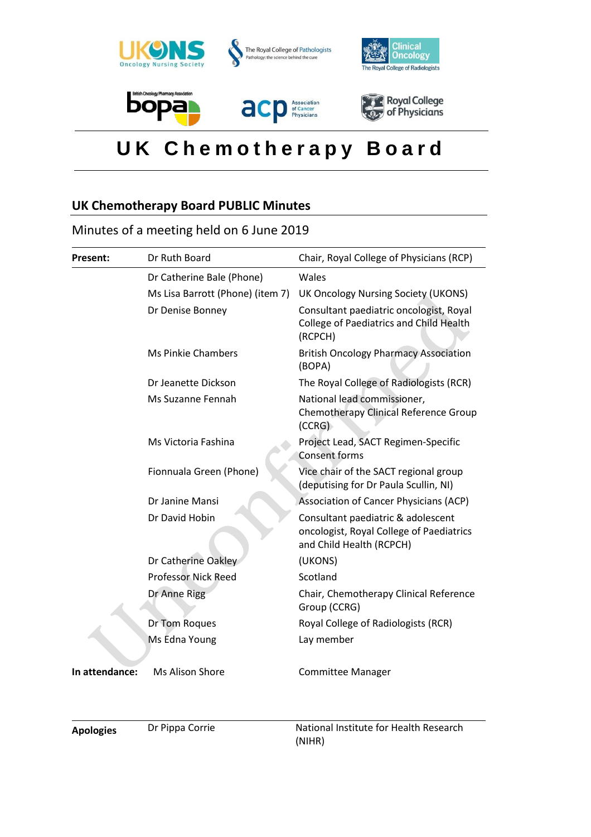

# **U K C h e m o t h e r a p y B o a r d**

## **UK Chemotherapy Board PUBLIC Minutes**

## Minutes of a meeting held on 6 June 2019

| Present:       | Dr Ruth Board                    | Chair, Royal College of Physicians (RCP)                                                                   |
|----------------|----------------------------------|------------------------------------------------------------------------------------------------------------|
|                | Dr Catherine Bale (Phone)        | Wales                                                                                                      |
|                | Ms Lisa Barrott (Phone) (item 7) | UK Oncology Nursing Society (UKONS)                                                                        |
|                | Dr Denise Bonney                 | Consultant paediatric oncologist, Royal<br>College of Paediatrics and Child Health<br>(RCPCH)              |
|                | <b>Ms Pinkie Chambers</b>        | <b>British Oncology Pharmacy Association</b><br>(BOPA)                                                     |
|                | Dr Jeanette Dickson              | The Royal College of Radiologists (RCR)                                                                    |
|                | Ms Suzanne Fennah                | National lead commissioner,<br>Chemotherapy Clinical Reference Group<br>(CCRG)                             |
|                | Ms Victoria Fashina              | Project Lead, SACT Regimen-Specific<br><b>Consent forms</b>                                                |
|                | Fionnuala Green (Phone)          | Vice chair of the SACT regional group<br>(deputising for Dr Paula Scullin, NI)                             |
|                | Dr Janine Mansi                  | Association of Cancer Physicians (ACP)                                                                     |
|                | Dr David Hobin                   | Consultant paediatric & adolescent<br>oncologist, Royal College of Paediatrics<br>and Child Health (RCPCH) |
|                | Dr Catherine Oakley              | (UKONS)                                                                                                    |
|                | <b>Professor Nick Reed</b>       | Scotland                                                                                                   |
|                | Dr Anne Rigg                     | Chair, Chemotherapy Clinical Reference<br>Group (CCRG)                                                     |
|                | Dr Tom Roques                    | Royal College of Radiologists (RCR)                                                                        |
|                | Ms Edna Young                    | Lay member                                                                                                 |
| In attendance: | Ms Alison Shore                  | <b>Committee Manager</b>                                                                                   |
|                |                                  |                                                                                                            |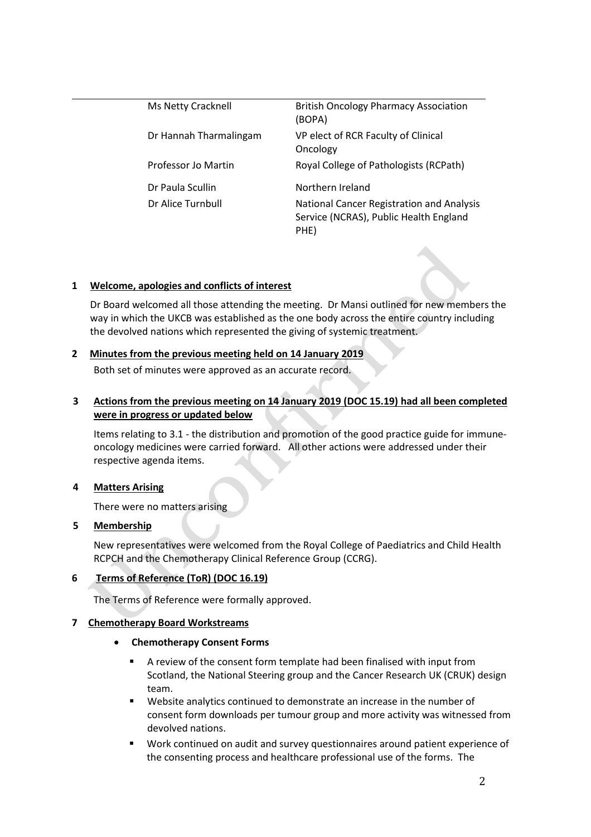| Ms Netty Cracknell     | <b>British Oncology Pharmacy Association</b><br>(BOPA)                                      |
|------------------------|---------------------------------------------------------------------------------------------|
| Dr Hannah Tharmalingam | VP elect of RCR Faculty of Clinical<br>Oncology                                             |
| Professor Jo Martin    | Royal College of Pathologists (RCPath)                                                      |
| Dr Paula Scullin       | Northern Ireland                                                                            |
| Dr Alice Turnbull      | National Cancer Registration and Analysis<br>Service (NCRAS), Public Health England<br>PHE) |

## **1 Welcome, apologies and conflicts of interest**

Dr Board welcomed all those attending the meeting. Dr Mansi outlined for new members the way in which the UKCB was established as the one body across the entire country including the devolved nations which represented the giving of systemic treatment.

## **2 Minutes from the previous meeting held on 14 January 2019**

Both set of minutes were approved as an accurate record.

## **3 Actions from the previous meeting on 14 January 2019 (DOC 15.19) had all been completed were in progress or updated below**

Items relating to 3.1 - the distribution and promotion of the good practice guide for immuneoncology medicines were carried forward. All other actions were addressed under their respective agenda items.

## **4 Matters Arising**

There were no matters arising

## **5 Membership**

New representatives were welcomed from the Royal College of Paediatrics and Child Health RCPCH and the Chemotherapy Clinical Reference Group (CCRG).

## **6 Terms of Reference (ToR) (DOC 16.19)**

The Terms of Reference were formally approved.

## **7 Chemotherapy Board Workstreams**

- **Chemotherapy Consent Forms**
	- A review of the consent form template had been finalised with input from Scotland, the National Steering group and the Cancer Research UK (CRUK) design team.
	- Website analytics continued to demonstrate an increase in the number of consent form downloads per tumour group and more activity was witnessed from devolved nations.
	- Work continued on audit and survey questionnaires around patient experience of the consenting process and healthcare professional use of the forms. The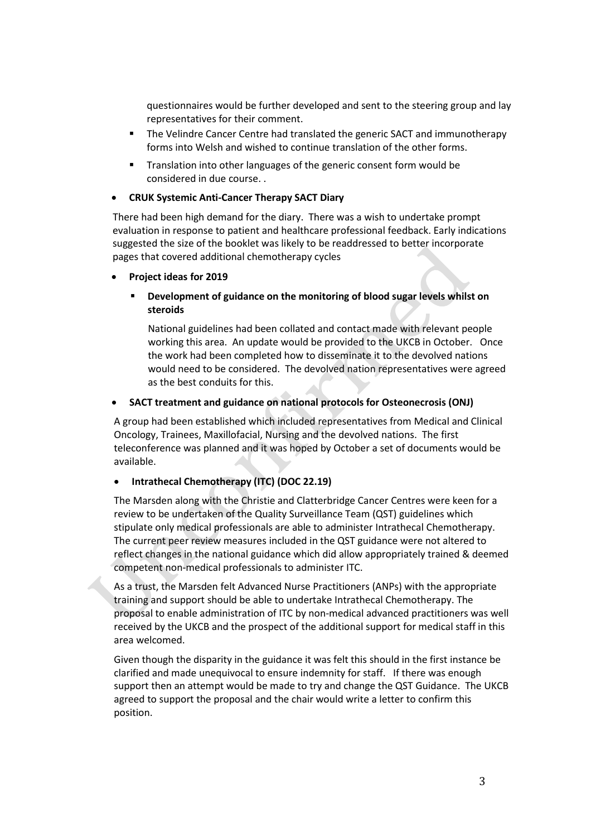questionnaires would be further developed and sent to the steering group and lay representatives for their comment.

- The Velindre Cancer Centre had translated the generic SACT and immunotherapy forms into Welsh and wished to continue translation of the other forms.
- Translation into other languages of the generic consent form would be considered in due course. .

#### **CRUK Systemic Anti-Cancer Therapy SACT Diary**

There had been high demand for the diary. There was a wish to undertake prompt evaluation in response to patient and healthcare professional feedback. Early indications suggested the size of the booklet was likely to be readdressed to better incorporate pages that covered additional chemotherapy cycles

#### **Project ideas for 2019**

## **Development of guidance on the monitoring of blood sugar levels whilst on steroids**

National guidelines had been collated and contact made with relevant people working this area. An update would be provided to the UKCB in October. Once the work had been completed how to disseminate it to the devolved nations would need to be considered. The devolved nation representatives were agreed as the best conduits for this.

#### **SACT treatment and guidance on national protocols for Osteonecrosis (ONJ)**

A group had been established which included representatives from Medical and Clinical Oncology, Trainees, Maxillofacial, Nursing and the devolved nations. The first teleconference was planned and it was hoped by October a set of documents would be available.

## **Intrathecal Chemotherapy (ITC) (DOC 22.19)**

The Marsden along with the Christie and Clatterbridge Cancer Centres were keen for a review to be undertaken of the Quality Surveillance Team (QST) guidelines which stipulate only medical professionals are able to administer Intrathecal Chemotherapy. The current peer review measures included in the QST guidance were not altered to reflect changes in the national guidance which did allow appropriately trained & deemed competent non-medical professionals to administer ITC.

As a trust, the Marsden felt Advanced Nurse Practitioners (ANPs) with the appropriate training and support should be able to undertake Intrathecal Chemotherapy. The proposal to enable administration of ITC by non-medical advanced practitioners was well received by the UKCB and the prospect of the additional support for medical staff in this area welcomed.

Given though the disparity in the guidance it was felt this should in the first instance be clarified and made unequivocal to ensure indemnity for staff. If there was enough support then an attempt would be made to try and change the QST Guidance. The UKCB agreed to support the proposal and the chair would write a letter to confirm this position.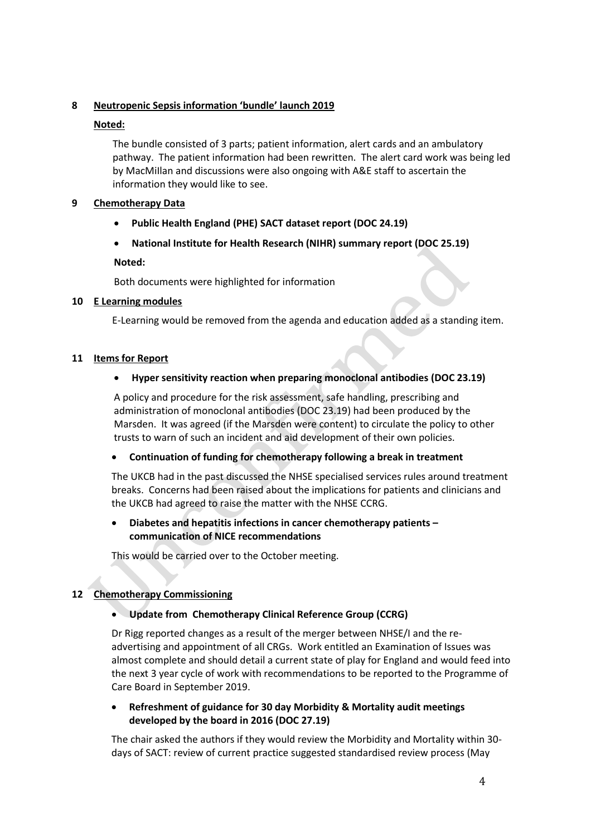## **8 Neutropenic Sepsis information 'bundle' launch 2019**

## **Noted:**

The bundle consisted of 3 parts; patient information, alert cards and an ambulatory pathway. The patient information had been rewritten. The alert card work was being led by MacMiIlan and discussions were also ongoing with A&E staff to ascertain the information they would like to see.

## **9 Chemotherapy Data**

- **Public Health England (PHE) SACT dataset report (DOC 24.19)**
- **National Institute for Health Research (NIHR) summary report (DOC 25.19)**

## **Noted:**

Both documents were highlighted for information

## **10 E Learning modules**

E-Learning would be removed from the agenda and education added as a standing item.

## **11 Items for Report**

## **Hyper sensitivity reaction when preparing monoclonal antibodies (DOC 23.19)**

A policy and procedure for the risk assessment, safe handling, prescribing and administration of monoclonal antibodies (DOC 23.19) had been produced by the Marsden. It was agreed (if the Marsden were content) to circulate the policy to other trusts to warn of such an incident and aid development of their own policies.

## **Continuation of funding for chemotherapy following a break in treatment**

The UKCB had in the past discussed the NHSE specialised services rules around treatment breaks. Concerns had been raised about the implications for patients and clinicians and the UKCB had agreed to raise the matter with the NHSE CCRG.

## **Diabetes and hepatitis infections in cancer chemotherapy patients – communication of NICE recommendations**

This would be carried over to the October meeting.

## **12 Chemotherapy Commissioning**

## **Update from Chemotherapy Clinical Reference Group (CCRG)**

Dr Rigg reported changes as a result of the merger between NHSE/I and the readvertising and appointment of all CRGs. Work entitled an Examination of Issues was almost complete and should detail a current state of play for England and would feed into the next 3 year cycle of work with recommendations to be reported to the Programme of Care Board in September 2019.

## **Refreshment of guidance for 30 day Morbidity & Mortality audit meetings developed by the board in 2016 (DOC 27.19)**

The chair asked the authors if they would review the Morbidity and Mortality within 30 days of SACT: review of current practice suggested standardised review process (May